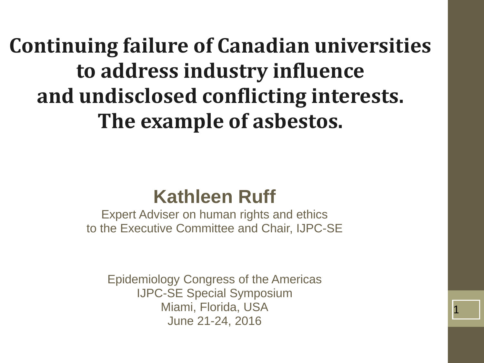**Continuing failure of Canadian universities to address industry influence and undisclosed conflicting interests. The example of asbestos.**

#### **Kathleen Ruff**

Expert Adviser on human rights and ethics to the Executive Committee and Chair, IJPC-SE

Epidemiology Congress of the Americas IJPC-SE Special Symposium Miami, Florida, USA June 21-24, 2016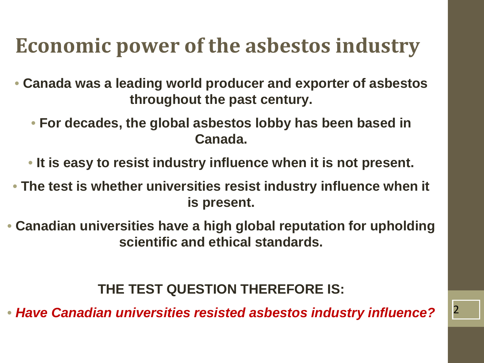#### **Economic power of the asbestos industry**

- **Canada was a leading world producer and exporter of asbestos throughout the past century.**
	- **For decades, the global asbestos lobby has been based in Canada.**
	- **It is easy to resist industry influence when it is not present.**
- **The test is whether universities resist industry influence when it is present.**
- **Canadian universities have a high global reputation for upholding scientific and ethical standards.**

**THE TEST QUESTION THEREFORE IS:**

• Have Canadian universities resisted asbestos industry influence? <sup>2</sup>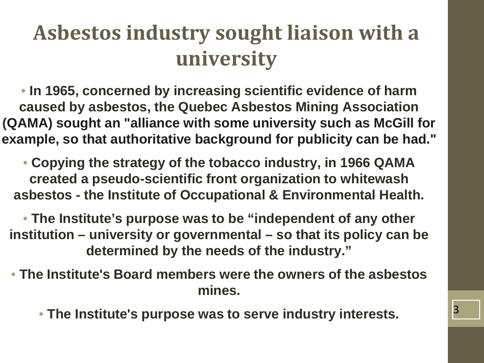### **Asbestos industry sought liaison with a university**

• **In 1965, concerned by increasing scientific evidence of harm caused by asbestos, the Quebec Asbestos Mining Association (QAMA) sought an "alliance with some university such as McGill for example, so that authoritative background for publicity can be had."**

• **Copying the strategy of the tobacco industry, in 1966 QAMA created a pseudo-scientific front organization to whitewash asbestos - the Institute of Occupational & Environmental Health.**

• **The Institute's purpose was to be "independent of any other institution – university or governmental – so that its policy can be determined by the needs of the industry."**

- **The Institute's Board members were the owners of the asbestos mines.**
	- The Institute's purpose was to serve industry interests.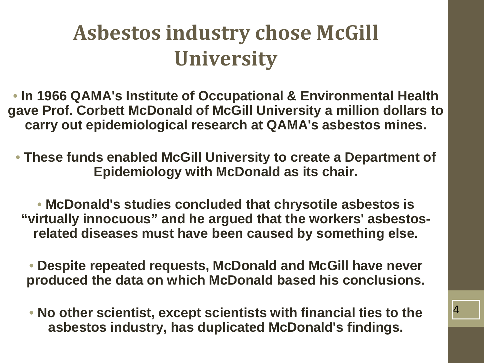#### **Asbestos industry chose McGill University**

• **In 1966 QAMA's Institute of Occupational & Environmental Health gave Prof. Corbett McDonald of McGill University a million dollars to carry out epidemiological research at QAMA's asbestos mines.**

• **These funds enabled McGill University to create a Department of Epidemiology with McDonald as its chair.**

• **McDonald's studies concluded that chrysotile asbestos is "virtually innocuous" and he argued that the workers' asbestosrelated diseases must have been caused by something else.**

• **Despite repeated requests, McDonald and McGill have never produced the data on which McDonald based his conclusions.**

• **No other scientist, except scientists with financial ties to the asbestos industry, has duplicated McDonald's findings.**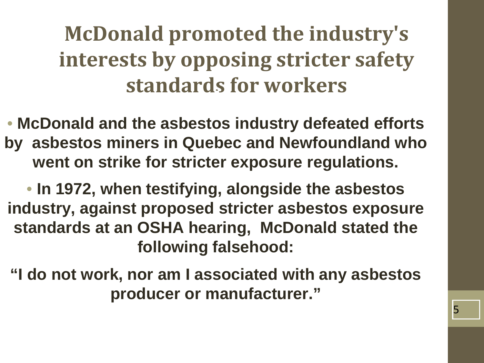# **McDonald promoted the industry's interests by opposing stricter safety standards for workers**

• **McDonald and the asbestos industry defeated efforts by asbestos miners in Quebec and Newfoundland who went on strike for stricter exposure regulations.**

• **In 1972, when testifying, alongside the asbestos industry, against proposed stricter asbestos exposure standards at an OSHA hearing, McDonald stated the following falsehood:**

**"I do not work, nor am I associated with any asbestos producer or manufacturer."**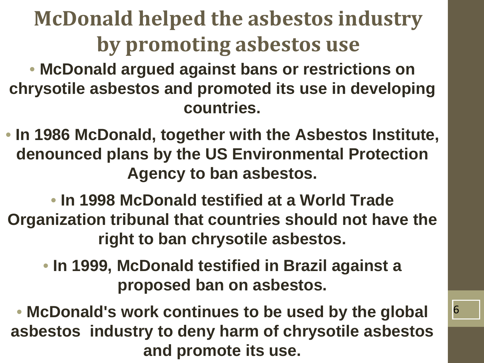# **McDonald helped the asbestos industry by promoting asbestos use**

• **McDonald argued against bans or restrictions on chrysotile asbestos and promoted its use in developing countries.**

• **In 1986 McDonald, together with the Asbestos Institute, denounced plans by the US Environmental Protection Agency to ban asbestos.**

• **In 1998 McDonald testified at a World Trade Organization tribunal that countries should not have the right to ban chrysotile asbestos.**

• **In 1999, McDonald testified in Brazil against a proposed ban on asbestos.**

• **McDonald's work continues to be used by the global asbestos industry to deny harm of chrysotile asbestos and promote its use.**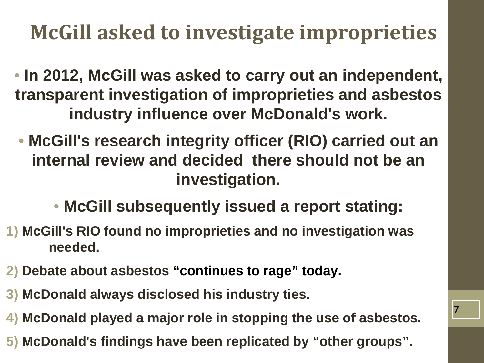# **McGill asked to investigate improprieties**

- **In 2012, McGill was asked to carry out an independent, transparent investigation of improprieties and asbestos industry influence over McDonald's work.**
- **McGill's research integrity officer (RIO) carried out an internal review and decided there should not be an investigation.**
	- **McGill subsequently issued a report stating:**
- **1) McGill's RIO found no improprieties and no investigation was needed.**
- **2) Debate about asbestos "continues to rage" today.**
- **3) McDonald always disclosed his industry ties.**
- **4) McDonald played a major role in stopping the use of asbestos.**

7

**5) McDonald's findings have been replicated by "other groups".**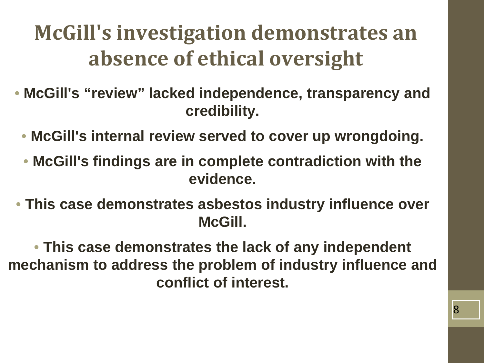### **McGill's investigation demonstrates an absence of ethical oversight**

- **McGill's "review" lacked independence, transparency and credibility.**
	- **McGill's internal review served to cover up wrongdoing.**
	- **McGill's findings are in complete contradiction with the evidence.**
- **This case demonstrates asbestos industry influence over McGill.**

• **This case demonstrates the lack of any independent mechanism to address the problem of industry influence and conflict of interest.**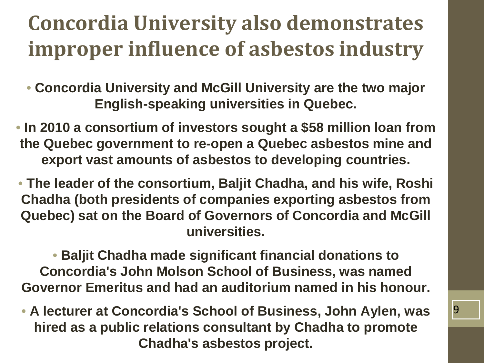### **Concordia University also demonstrates improper influence of asbestos industry**

- **Concordia University and McGill University are the two major English-speaking universities in Quebec.**
- **In 2010 a consortium of investors sought a \$58 million loan from the Quebec government to re-open a Quebec asbestos mine and export vast amounts of asbestos to developing countries.**
- **The leader of the consortium, Baljit Chadha, and his wife, Roshi Chadha (both presidents of companies exporting asbestos from Quebec) sat on the Board of Governors of Concordia and McGill universities.**

• **Baljit Chadha made significant financial donations to Concordia's John Molson School of Business, was named Governor Emeritus and had an auditorium named in his honour.**

• **A lecturer at Concordia's School of Business, John Aylen, was hired as a public relations consultant by Chadha to promote Chadha's asbestos project.**

9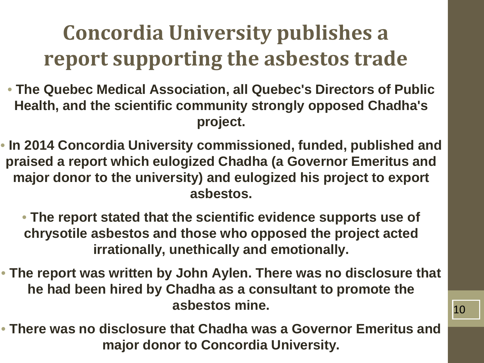# **Concordia University publishes a report supporting the asbestos trade**

- **The Quebec Medical Association, all Quebec's Directors of Public Health, and the scientific community strongly opposed Chadha's project.**
- **In 2014 Concordia University commissioned, funded, published and praised a report which eulogized Chadha (a Governor Emeritus and major donor to the university) and eulogized his project to export asbestos.**
	- **The report stated that the scientific evidence supports use of chrysotile asbestos and those who opposed the project acted irrationally, unethically and emotionally.**
- **The report was written by John Aylen. There was no disclosure that he had been hired by Chadha as a consultant to promote the asbestos mine.**
- **There was no disclosure that Chadha was a Governor Emeritus and major donor to Concordia University.**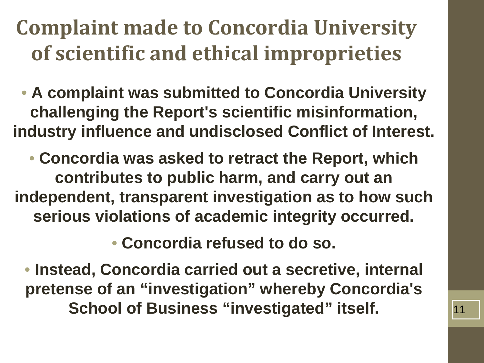### **Complaint made to Concordia University of scientific and ethical improprieties**

• **A complaint was submitted to Concordia University challenging the Report's scientific misinformation, industry influence and undisclosed Conflict of Interest.**

• **Concordia was asked to retract the Report, which contributes to public harm, and carry out an independent, transparent investigation as to how such serious violations of academic integrity occurred.**

• **Concordia refused to do so.**

• **Instead, Concordia carried out a secretive, internal pretense of an "investigation" whereby Concordia's School of Business "investigated" itself.** 11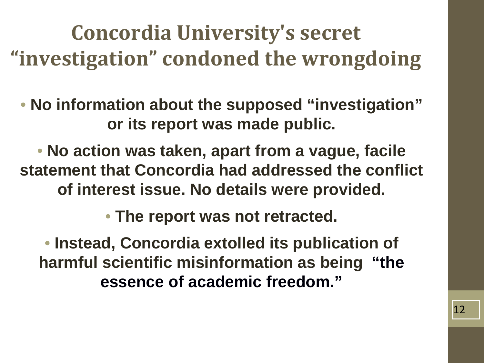**Concordia University's secret "investigation" condoned the wrongdoing**

• **No information about the supposed "investigation" or its report was made public.**

• **No action was taken, apart from a vague, facile statement that Concordia had addressed the conflict of interest issue. No details were provided.**

• **The report was not retracted.**

• **Instead, Concordia extolled its publication of harmful scientific misinformation as being "the essence of academic freedom."**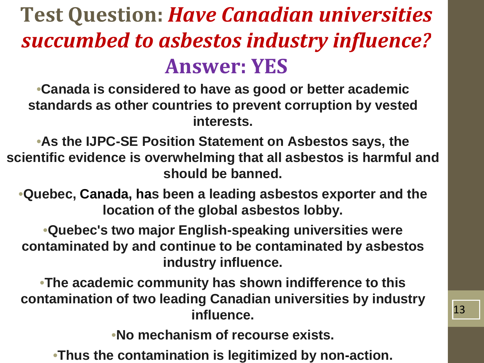# **Test Question:** *Have Canadian universities succumbed to asbestos industry influence?* **Answer: YES**

•**Canada is considered to have as good or better academic standards as other countries to prevent corruption by vested interests.**

•**As the IJPC-SE Position Statement on Asbestos says, the scientific evidence is overwhelming that all asbestos is harmful and should be banned.**

•**Quebec, Canada, has been a leading asbestos exporter and the location of the global asbestos lobby.**

•**Quebec's two major English-speaking universities were contaminated by and continue to be contaminated by asbestos industry influence.**

•**The academic community has shown indifference to this contamination of two leading Canadian universities by industry influence.**

•**No mechanism of recourse exists.**

•**Thus the contamination is legitimized by non-action.**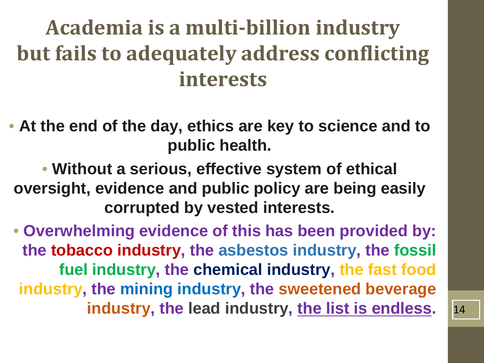### **Academia is a multi-billion industry but fails to adequately address conflicting interests**

• **At the end of the day, ethics are key to science and to public health.**

• **Without a serious, effective system of ethical oversight, evidence and public policy are being easily corrupted by vested interests.**

• **Overwhelming evidence of this has been provided by: the tobacco industry, the asbestos industry, the fossil fuel industry, the chemical industry, the fast food industry, the mining industry, the sweetened beverage industry, the lead industry, the list is endless.** 14